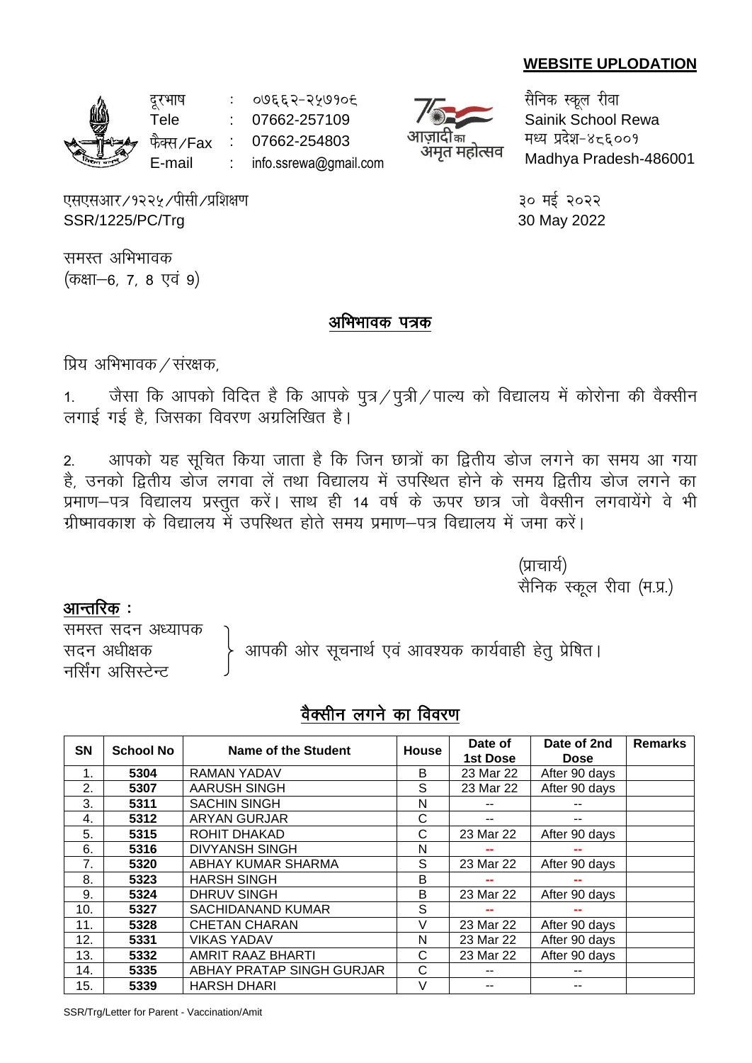## **WEBSITE UPLODATION**



 $\mathbf{a}$  :  $\mathbf{a}$   $\mathbf{b}$   $\mathbf{c}$   $\mathbf{a}$   $\mathbf{c}$   $\mathbf{c}$   $\mathbf{c}$   $\mathbf{c}$   $\mathbf{c}$   $\mathbf{c}$   $\mathbf{c}$   $\mathbf{c}$   $\mathbf{c}$   $\mathbf{c}$   $\mathbf{c}$   $\mathbf{c}$   $\mathbf{c}$   $\mathbf{c}$   $\mathbf{c}$   $\mathbf{c}$   $\mathbf{c}$   $\mathbf{c}$   $\mathbf{c}$   $\math$ E-mail : info.ssrewa@gmail.com Tele : 07662-257109

 $\gamma$ Fax  $\sim$  07002-204009<br>cil  $\sim$  info.corous@amoil.com . - - -<br>फैक्स ∕ Fax ∶ 07662-254803



Sainik School Rewa मध्य प्रदेश-४८६००१ Madhya Pradesh-486001

३० मई २०२२ S f

एसएसआर ∕ १२२५ ∕पीसी ∕प्रशिक्षण SSR/1225/PC/Trg 30 May 2022

समस्त अभिभावक (कक्षा–6, 7, 8 एवं 9)

## आभेभावक पत्रक

प्रिय अभिभावक $/$ संरक्षक,

1. जैसा कि आपको विदित है कि आपके पुत्र / पुत्री / पाल्य को विद्यालय में कोरोना की वैक्सीन लगाई गई है, जिसका विवरण अग्रलिखित है।

) है, उनको द्वितीय डोज लगवा लें तथा विद्यालय में उपस्थित होने के समय द्वितीय डोज लगने का k ग्रीष्मावकाश के विद्यालय में उपस्थित होते समय प्रमाण—पत्र विद्यालय में जमा करें। 2. आपको यह सूचित किया जाता है कि जिन छात्रों का द्वितीय डोज लगने का समय आ गया k प्रमाण–पत्र विद्यालय प्रस्तुत करें। साथ ही 14 वर्ष के ऊपर छात्र जो वैक्सीन लगवायेंगे वे भी

> i n सैनिक स्कूल रीवा (म.प्र.) n (प्राचार्य)<br>अन्

l

## आन्तरिक :

समस्त सदन अध्यापक नर्सिंग असिस्टेन्ट

S e<br>R h lnu v/kh{kd vkidh vk sj lwpukFk Z ,o a vko";d dk;Zokgh g srq izsf'krA

| SΝ  | <b>School No</b> | Name of the Student       | House        | Date of   | Date of 2nd   | <b>Remarks</b> |
|-----|------------------|---------------------------|--------------|-----------|---------------|----------------|
|     |                  |                           |              | 1st Dose  | <b>Dose</b>   |                |
| 1.  | 5304             | RAMAN YADAV               | B            | 23 Mar 22 | After 90 days |                |
| 2.  | 5307             | AARUSH SINGH              | S            | 23 Mar 22 | After 90 days |                |
| 3.  | 5311             | <b>SACHIN SINGH</b>       | N            |           |               |                |
| 4.  | 5312             | <b>ARYAN GURJAR</b>       | С            |           |               |                |
| 5.  | 5315             | ROHIT DHAKAD              | $\mathsf{C}$ | 23 Mar 22 | After 90 days |                |
| 6.  | 5316             | <b>DIVYANSH SINGH</b>     | N            |           |               |                |
| 7.  | 5320             | ABHAY KUMAR SHARMA        | S            | 23 Mar 22 | After 90 days |                |
| 8.  | 5323             | <b>HARSH SINGH</b>        | B            |           |               |                |
| 9.  | 5324             | DHRUV SINGH               | B            | 23 Mar 22 | After 90 days |                |
| 10. | 5327             | <b>SACHIDANAND KUMAR</b>  | S            |           |               |                |
| 11. | 5328             | <b>CHETAN CHARAN</b>      | $\vee$       | 23 Mar 22 | After 90 days |                |
| 12. | 5331             | <b>VIKAS YADAV</b>        | N            | 23 Mar 22 | After 90 days |                |
| 13. | 5332             | AMRIT RAAZ BHARTI         | C            | 23 Mar 22 | After 90 days |                |
| 14. | 5335             | ABHAY PRATAP SINGH GURJAR | C            |           |               |                |
| 15. | 5339             | <b>HARSH DHARI</b>        | V            | --        | --            |                |

## वैक्सीन लगने का विवरण

SSR/Trg/Letter for Parent - Vaccination/Amit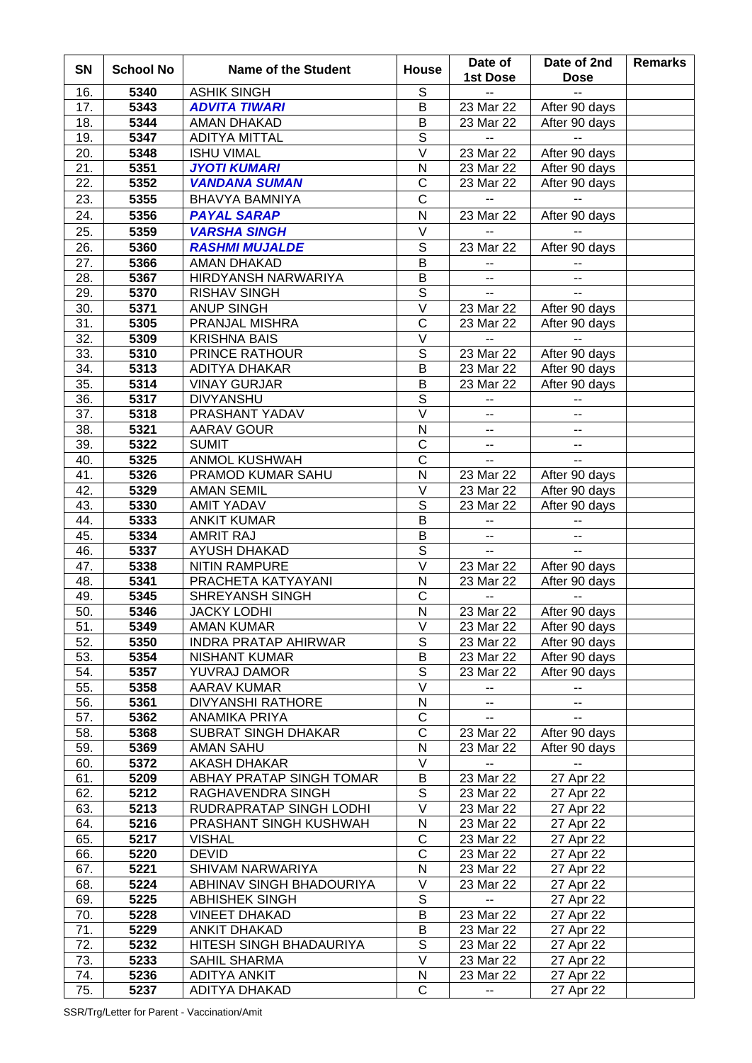| <b>SN</b>  | <b>School No</b> | <b>Name of the Student</b>                          | House                    | Date of<br>1st Dose              | Date of 2nd<br><b>Dose</b>                           | <b>Remarks</b> |
|------------|------------------|-----------------------------------------------------|--------------------------|----------------------------------|------------------------------------------------------|----------------|
| 16.        | 5340             | <b>ASHIK SINGH</b>                                  | S                        |                                  |                                                      |                |
| 17.        | 5343             | <b>ADVITA TIWARI</b>                                | B                        | 23 Mar 22                        | After 90 days                                        |                |
| 18.        | 5344             | <b>AMAN DHAKAD</b>                                  | B                        | 23 Mar 22                        | After 90 days                                        |                |
| 19.        | 5347             | <b>ADITYA MITTAL</b>                                | $\overline{\mathsf{s}}$  | $\mathbf{u}$                     | $\overline{a}$                                       |                |
| 20.        | 5348             | <b>ISHU VIMAL</b>                                   | $\overline{\vee}$        | 23 Mar 22                        | After 90 days                                        |                |
| 21.        | 5351             | <b>JYOTI KUMARI</b>                                 | N                        | 23 Mar 22                        | After 90 days                                        |                |
| 22.        | 5352             | <b>VANDANA SUMAN</b>                                | $\overline{\text{c}}$    | 23 Mar 22                        | After 90 days                                        |                |
| 23.        | 5355             | <b>BHAVYA BAMNIYA</b>                               | $\mathsf{C}$             | $\overline{a}$                   | $-$                                                  |                |
| 24.        | 5356             | <b>PAYAL SARAP</b>                                  | $\mathsf{N}$             | 23 Mar 22                        | After 90 days                                        |                |
| 25.        | 5359             | <b>VARSHA SINGH</b>                                 | $\vee$                   |                                  |                                                      |                |
| 26.        | 5360             | <b>RASHMI MUJALDE</b>                               | $\overline{s}$           | 23 Mar 22                        | After 90 days                                        |                |
| 27.        | 5366             | <b>AMAN DHAKAD</b>                                  | B                        | $\overline{a}$                   |                                                      |                |
| 28.        | 5367<br>5370     | HIRDYANSH NARWARIYA<br><b>RISHAV SINGH</b>          | B<br>$\overline{s}$      | $\overline{a}$<br>$\overline{a}$ | $\overline{\phantom{a}}$<br>$\overline{\phantom{a}}$ |                |
| 29.<br>30. | 5371             | <b>ANUP SINGH</b>                                   | $\overline{\vee}$        | $23$ Mar 22                      | After 90 days                                        |                |
| 31.        | 5305             | PRANJAL MISHRA                                      | $\overline{\text{c}}$    | 23 Mar 22                        | After 90 days                                        |                |
| 32.        | 5309             | <b>KRISHNA BAIS</b>                                 | $\overline{\vee}$        |                                  |                                                      |                |
| 33.        | 5310             | <b>PRINCE RATHOUR</b>                               | $\overline{s}$           | 23 Mar 22                        | After 90 days                                        |                |
| 34.        | 5313             | <b>ADITYA DHAKAR</b>                                | B                        | $23$ Mar 22                      | After 90 days                                        |                |
| 35.        | 5314             | <b>VINAY GURJAR</b>                                 | B                        | $23$ Mar 22                      | After 90 days                                        |                |
| 36.        | 5317             | <b>DIVYANSHU</b>                                    | $\overline{s}$           | --                               |                                                      |                |
| 37.        | 5318             | PRASHANT YADAV                                      | $\overline{\vee}$        | н.                               | $-$                                                  |                |
| 38.        | 5321             | <b>AARAV GOUR</b>                                   | N                        | $\overline{a}$                   | $-$                                                  |                |
| 39.        | 5322             | <b>SUMIT</b>                                        | $\mathsf{C}$             | $\overline{\phantom{a}}$         | --                                                   |                |
| 40.        | 5325             | <b>ANMOL KUSHWAH</b>                                | $\mathsf C$              | $\overline{a}$                   | $\overline{a}$                                       |                |
| 41.        | 5326             | PRAMOD KUMAR SAHU                                   | N                        | 23 Mar 22                        | After 90 days                                        |                |
| 42.        | 5329             | <b>AMAN SEMIL</b>                                   | $\vee$                   | 23 Mar 22                        | After 90 days                                        |                |
| 43.        | 5330             | <b>AMIT YADAV</b>                                   | S                        | 23 Mar 22                        | After 90 days                                        |                |
| 44.        | 5333             | <b>ANKIT KUMAR</b>                                  | B                        | $\overline{\phantom{a}}$         |                                                      |                |
| 45.        | 5334             | <b>AMRIT RAJ</b>                                    | B                        | $\overline{a}$                   | $\overline{\phantom{a}}$                             |                |
| 46.        | 5337             | <b>AYUSH DHAKAD</b>                                 | $\mathsf S$              | $\overline{a}$                   | $\overline{\phantom{a}}$                             |                |
| 47.        | 5338             | <b>NITIN RAMPURE</b>                                | $\vee$                   | 23 Mar 22                        | After 90 days                                        |                |
| 48.        | 5341             | PRACHETA KATYAYANI                                  | N                        | 23 Mar 22                        | After 90 days                                        |                |
| 49.        | 5345             | SHREYANSH SINGH                                     | $\mathsf{C}$             | --                               |                                                      |                |
| 50.        | 5346             | <b>JACKY LODHI</b>                                  | N                        | 23 Mar 22                        | After 90 days                                        |                |
| 51.<br>52. | 5349<br>5350     | <b>AMAN KUMAR</b>                                   | $\vee$<br>$\overline{s}$ | 23 Mar 22                        | After 90 days                                        |                |
| 53.        | 5354             | <b>INDRA PRATAP AHIRWAR</b><br><b>NISHANT KUMAR</b> | B                        | 23 Mar 22<br>23 Mar 22           | After 90 days<br>After 90 days                       |                |
| 54.        | 5357             | YUVRAJ DAMOR                                        | $\overline{S}$           | 23 Mar 22                        | After 90 days                                        |                |
| 55.        | 5358             | <b>AARAV KUMAR</b>                                  | $\overline{\vee}$        | $\mathcal{L}_{\mathcal{F}}$      | $\overline{a}$                                       |                |
| 56.        | 5361             | <b>DIVYANSHI RATHORE</b>                            | ${\sf N}$                | $\overline{a}$                   | --                                                   |                |
| 57.        | 5362             | <b>ANAMIKA PRIYA</b>                                | $\mathsf C$              | --                               | $\overline{\phantom{a}}$                             |                |
| 58.        | 5368             | SUBRAT SINGH DHAKAR                                 | $\mathsf C$              | 23 Mar 22                        | After 90 days                                        |                |
| 59.        | 5369             | <b>AMAN SAHU</b>                                    | N                        | 23 Mar 22                        | After 90 days                                        |                |
| 60.        | 5372             | <b>AKASH DHAKAR</b>                                 | $\overline{\vee}$        | $\overline{a}$                   | $\overline{a}$                                       |                |
| 61.        | 5209             | ABHAY PRATAP SINGH TOMAR                            | B                        | 23 Mar 22                        | 27 Apr 22                                            |                |
| 62.        | 5212             | RAGHAVENDRA SINGH                                   | $\mathbb S$              | 23 Mar 22                        | 27 Apr 22                                            |                |
| 63.        | 5213             | RUDRAPRATAP SINGH LODHI                             | $\overline{\vee}$        | 23 Mar 22                        | $\overline{27}$ Apr 22                               |                |
| 64.        | 5216             | PRASHANT SINGH KUSHWAH                              | $\mathsf{N}$             | 23 Mar 22                        | 27 Apr 22                                            |                |
| 65.        | 5217             | <b>VISHAL</b>                                       | $\mathsf C$              | 23 Mar 22                        | 27 Apr 22                                            |                |
| 66.        | 5220             | <b>DEVID</b>                                        | $\mathsf C$              | 23 Mar 22                        | 27 Apr 22                                            |                |
| 67.        | 5221             | SHIVAM NARWARIYA                                    | $\mathsf{N}$             | 23 Mar 22                        | 27 Apr 22                                            |                |
| 68.        | 5224             | ABHINAV SINGH BHADOURIYA                            | $\overline{\vee}$        | 23 Mar 22                        | 27 Apr 22                                            |                |
| 69.        | 5225             | <b>ABHISHEK SINGH</b>                               | $\overline{s}$           | $\overline{a}$                   | 27 Apr 22                                            |                |
| 70.<br>71. | 5228<br>5229     | <b>VINEET DHAKAD</b><br><b>ANKIT DHAKAD</b>         | B<br>B                   | 23 Mar 22<br>23 Mar 22           | 27 Apr 22                                            |                |
| 72.        | 5232             | HITESH SINGH BHADAURIYA                             | $\overline{s}$           | 23 Mar 22                        | 27 Apr 22<br>27 Apr 22                               |                |
| 73.        | 5233             | SAHIL SHARMA                                        | $\vee$                   | 23 Mar 22                        | 27 Apr 22                                            |                |
| 74.        | 5236             | <b>ADITYA ANKIT</b>                                 | ${\sf N}$                | 23 Mar 22                        | 27 Apr 22                                            |                |
| 75.        | 5237             | <b>ADITYA DHAKAD</b>                                | $\mathsf{C}$             |                                  | 27 Apr 22                                            |                |
|            |                  |                                                     |                          |                                  |                                                      |                |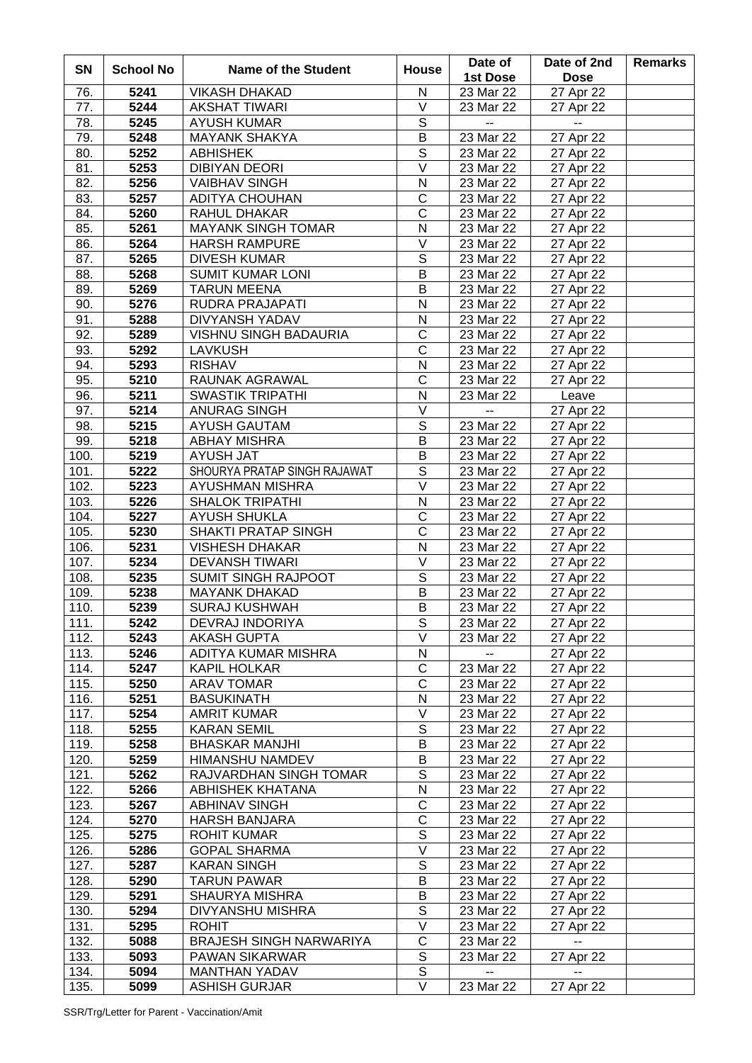| <b>SN</b>    | <b>School No</b> | <b>Name of the Student</b>                   | <b>House</b>          | Date of                     | Date of 2nd              | Remarks |
|--------------|------------------|----------------------------------------------|-----------------------|-----------------------------|--------------------------|---------|
|              |                  |                                              |                       | 1st Dose                    | <b>Dose</b>              |         |
| 76.          | 5241             | <b>VIKASH DHAKAD</b>                         | N                     | 23 Mar 22                   | 27 Apr 22                |         |
| 77.          | 5244             | <b>AKSHAT TIWARI</b>                         | V                     | 23 Mar 22                   | 27 Apr 22                |         |
| 78.          | 5245             | <b>AYUSH KUMAR</b>                           | S                     | $\overline{\phantom{a}}$    | $\overline{\phantom{a}}$ |         |
| 79.          | 5248             | <b>MAYANK SHAKYA</b>                         | $\overline{B}$        | 23 Mar 22                   | 27 Apr 22                |         |
| 80.          | 5252             | <b>ABHISHEK</b>                              | $\overline{s}$        | 23 Mar 22                   | 27 Apr 22                |         |
| 81.          | 5253             | <b>DIBIYAN DEORI</b>                         | $\overline{\vee}$     | 23 Mar 22                   | 27 Apr 22                |         |
| 82.          | 5256             | <b>VAIBHAV SINGH</b>                         | N                     | 23 Mar 22                   | 27 Apr 22                |         |
| 83.          | 5257             | <b>ADITYA CHOUHAN</b>                        | C                     | 23 Mar 22                   | 27 Apr 22                |         |
| 84.          | 5260             | RAHUL DHAKAR                                 | $\overline{\text{c}}$ | 23 Mar 22                   | 27 Apr 22                |         |
| 85.          | 5261             | <b>MAYANK SINGH TOMAR</b>                    | N                     | 23 Mar 22                   | 27 Apr 22                |         |
| 86.          | 5264             | <b>HARSH RAMPURE</b>                         | $\vee$                | 23 Mar 22                   | 27 Apr 22                |         |
| 87.          | 5265             | <b>DIVESH KUMAR</b>                          | $\overline{s}$        | 23 Mar 22                   | 27 Apr 22                |         |
| 88.          | 5268             | <b>SUMIT KUMAR LONI</b>                      | B                     | 23 Mar 22                   | 27 Apr 22                |         |
| 89.          | 5269             | <b>TARUN MEENA</b>                           | B                     | 23 Mar 22                   | 27 Apr 22                |         |
| 90.          | 5276             | <b>RUDRA PRAJAPATI</b>                       | N                     | 23 Mar 22                   | 27 Apr 22                |         |
| 91.          | 5288             | DIVYANSH YADAV                               | N                     | 23 Mar 22                   | 27 Apr 22                |         |
| 92.          | 5289             | <b>VISHNU SINGH BADAURIA</b>                 | C                     | 23 Mar 22                   | 27 Apr 22                |         |
| 93.          | 5292             | <b>LAVKUSH</b>                               | $\overline{\text{c}}$ | 23 Mar 22                   | 27 Apr 22                |         |
| 94.          | 5293             | <b>RISHAV</b>                                | N                     | 23 Mar 22                   | 27 Apr 22                |         |
| 95.          | 5210             | RAUNAK AGRAWAL                               | C                     | 23 Mar 22                   | 27 Apr 22                |         |
| 96.          | 5211             | <b>SWASTIK TRIPATHI</b>                      | N                     | 23 Mar 22                   | Leave                    |         |
| 97.          | 5214             | <b>ANURAG SINGH</b>                          | $\vee$                | 44                          | 27 Apr 22                |         |
| 98.          | 5215             | <b>AYUSH GAUTAM</b>                          | $\mathsf S$           | 23 Mar 22                   | 27 Apr 22                |         |
| 99.          | 5218             | <b>ABHAY MISHRA</b>                          | B                     | 23 Mar 22                   | 27 Apr 22                |         |
| 100.         | 5219             | <b>AYUSH JAT</b>                             | B                     | 23 Mar 22                   | 27 Apr 22                |         |
| 101.         | 5222             | SHOURYA PRATAP SINGH RAJAWAT                 | S                     | 23 Mar 22                   | 27 Apr 22                |         |
| 102.         | 5223             | AYUSHMAN MISHRA                              | $\vee$                | 23 Mar 22                   | 27 Apr 22                |         |
| 103.         | 5226             | <b>SHALOK TRIPATHI</b>                       | N                     | 23 Mar 22                   | 27 Apr 22                |         |
| 104.         | 5227             | <b>AYUSH SHUKLA</b>                          | C                     | 23 Mar 22                   | 27 Apr 22                |         |
| 105.         | 5230             | SHAKTI PRATAP SINGH                          | $\mathsf{C}$          | 23 Mar 22                   | 27 Apr 22                |         |
| 106.         | 5231             | <b>VISHESH DHAKAR</b>                        | N<br>V                | 23 Mar 22                   | 27 Apr 22                |         |
| 107.<br>108. | 5234<br>5235     | <b>DEVANSH TIWARI</b><br>SUMIT SINGH RAJPOOT | $\mathsf S$           | 23 Mar 22                   | 27 Apr 22<br>27 Apr 22   |         |
| 109.         | 5238             | <b>MAYANK DHAKAD</b>                         | B                     | 23 Mar 22<br>23 Mar 22      | 27 Apr 22                |         |
| 110.         | 5239             | <b>SURAJ KUSHWAH</b>                         | B                     | 23 Mar 22                   | 27 Apr 22                |         |
| 111.         | 5242             | DEVRAJ INDORIYA                              | S                     | 23 Mar 22                   | 27 Apr 22                |         |
| 112.         | 5243             | AKASH GUPTA                                  | $\overline{\vee}$     | 23 Mar 22                   | 27 Apr 22                |         |
| 113.         | 5246             | ADITYA KUMAR MISHRA                          | N                     | $\mathcal{L}_{\mathcal{F}}$ | 27 Apr 22                |         |
| 114.         | 5247             | <b>KAPIL HOLKAR</b>                          | C                     | 23 Mar 22                   | 27 Apr 22                |         |
| 115.         | 5250             | <b>ARAV TOMAR</b>                            | C                     | 23 Mar 22                   | 27 Apr 22                |         |
| 116.         | 5251             | <b>BASUKINATH</b>                            | N                     | 23 Mar 22                   | 27 Apr 22                |         |
| 117.         | 5254             | <b>AMRIT KUMAR</b>                           | $\vee$                | 23 Mar 22                   | 27 Apr 22                |         |
| 118.         | 5255             | <b>KARAN SEMIL</b>                           | $\mathsf S$           | 23 Mar 22                   | 27 Apr 22                |         |
| 119.         | 5258             | <b>BHASKAR MANJHI</b>                        | B                     | 23 Mar 22                   | 27 Apr 22                |         |
| 120.         | 5259             | HIMANSHU NAMDEV                              | B                     | 23 Mar 22                   | 27 Apr 22                |         |
| 121.         | 5262             | RAJVARDHAN SINGH TOMAR                       | $\overline{S}$        | 23 Mar 22                   | 27 Apr 22                |         |
| 122.         | 5266             | <b>ABHISHEK KHATANA</b>                      | N                     | 23 Mar 22                   | 27 Apr 22                |         |
| 123.         | 5267             | <b>ABHINAV SINGH</b>                         | С                     | 23 Mar 22                   | 27 Apr 22                |         |
| 124.         | 5270             | <b>HARSH BANJARA</b>                         | C                     | 23 Mar 22                   | 27 Apr 22                |         |
| 125.         | 5275             | <b>ROHIT KUMAR</b>                           | $\overline{S}$        | 23 Mar 22                   | 27 Apr 22                |         |
| 126.         | 5286             | <b>GOPAL SHARMA</b>                          | $\overline{\vee}$     | 23 Mar 22                   | 27 Apr 22                |         |
| 127.         | 5287             | <b>KARAN SINGH</b>                           | S                     | 23 Mar 22                   | 27 Apr 22                |         |
| 128.         | 5290             | <b>TARUN PAWAR</b>                           | B                     | 23 Mar 22                   | 27 Apr 22                |         |
| 129.         | 5291             | SHAURYA MISHRA                               | B                     | 23 Mar 22                   | 27 Apr 22                |         |
| 130.         | 5294             | DIVYANSHU MISHRA                             | $\mathsf S$           | 23 Mar 22                   | 27 Apr 22                |         |
| 131.         | 5295             | <b>ROHIT</b>                                 | $\vee$                | 23 Mar 22                   | 27 Apr 22                |         |
| 132.         | 5088             | <b>BRAJESH SINGH NARWARIYA</b>               | C                     | 23 Mar 22                   | 44                       |         |
| 133.         | 5093             | PAWAN SIKARWAR                               | $\mathsf S$           | 23 Mar 22                   | 27 Apr 22                |         |
| 134.         | 5094             | <b>MANTHAN YADAV</b>                         | $\mathbb S$           | $\overline{\phantom{a}}$    | $\overline{\phantom{a}}$ |         |
| 135.         | 5099             | <b>ASHISH GURJAR</b>                         | $\vee$                | 23 Mar 22                   | 27 Apr 22                |         |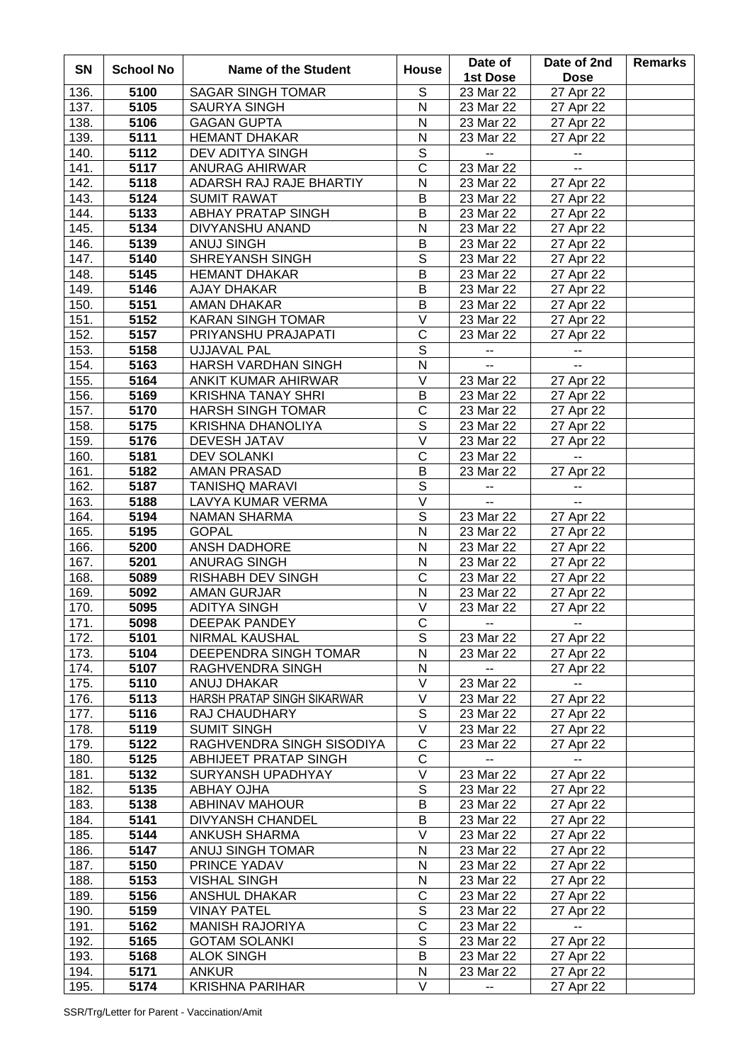| <b>SN</b>    | <b>School No</b> | Name of the Student                             | House                     | Date of                               | Date of 2nd                                             | Remarks |
|--------------|------------------|-------------------------------------------------|---------------------------|---------------------------------------|---------------------------------------------------------|---------|
|              |                  |                                                 |                           | 1st Dose                              | <b>Dose</b>                                             |         |
| 136.         | 5100             | <b>SAGAR SINGH TOMAR</b>                        | $\mathsf S$               | 23 Mar 22                             | 27 Apr 22                                               |         |
| 137.         | 5105             | <b>SAURYA SINGH</b>                             | N                         | 23 Mar 22                             | 27 Apr 22                                               |         |
| 138.         | 5106             | <b>GAGAN GUPTA</b>                              | N                         | 23 Mar 22                             | 27 Apr 22                                               |         |
| 139.         | 5111             | <b>HEMANT DHAKAR</b>                            | $\mathsf{N}$              | 23 Mar 22                             | 27 Apr 22                                               |         |
| 140.         | 5112             | DEV ADITYA SINGH                                | $\overline{\mathsf{s}}$   | $\sim$                                | $\overline{\phantom{a}}$                                |         |
| 141.         | 5117             | <b>ANURAG AHIRWAR</b>                           | $\overline{\text{c}}$     | 23 Mar 22                             | ÷.                                                      |         |
| 142.         | 5118             | ADARSH RAJ RAJE BHARTIY                         | $\overline{\mathsf{N}}$   | 23 Mar 22                             | 27 Apr 22                                               |         |
| 143.         | 5124             | <b>SUMIT RAWAT</b>                              | B                         | 23 Mar 22                             | 27 Apr 22                                               |         |
| 144.         | 5133             | ABHAY PRATAP SINGH                              | B                         | 23 Mar 22                             | 27 Apr 22                                               |         |
| 145.         | 5134             | DIVYANSHU ANAND                                 | $\mathsf{N}$              | 23 Mar 22                             | 27 Apr 22                                               |         |
| 146.         | 5139             | <b>ANUJ SINGH</b>                               | B                         | 23 Mar 22                             | 27 Apr 22                                               |         |
| 147.         | 5140             | SHREYANSH SINGH                                 | $\overline{S}$            | 23 Mar 22                             | 27 Apr 22                                               |         |
| 148.         | 5145             | <b>HEMANT DHAKAR</b>                            | $\overline{B}$            | 23 Mar 22                             | 27 Apr 22                                               |         |
| 149.         | 5146             | <b>AJAY DHAKAR</b>                              | B                         | 23 Mar 22                             | 27 Apr 22                                               |         |
| 150.         | 5151             | <b>AMAN DHAKAR</b>                              | B                         | 23 Mar 22                             | 27 Apr 22                                               |         |
| 151.         | 5152             | <b>KARAN SINGH TOMAR</b>                        | $\vee$                    | 23 Mar 22                             | 27 Apr 22                                               |         |
| 152.         | 5157             | PRIYANSHU PRAJAPATI                             | $\mathsf C$               | 23 Mar 22                             | 27 Apr 22                                               |         |
| 153.         | 5158             | <b>UJJAVAL PAL</b>                              | $\overline{s}$            | $\rightarrow$                         | --                                                      |         |
| 154.         | 5163             | HARSH VARDHAN SINGH                             | $\overline{N}$            | $\mathbb{Z}^{\mathbb{Z}}$             | $\overline{a}$                                          |         |
| 155.         | 5164             | ANKIT KUMAR AHIRWAR                             | $\vee$                    | 23 Mar 22                             | 27 Apr 22                                               |         |
| 156.         | 5169             | <b>KRISHNA TANAY SHRI</b>                       | B                         | 23 Mar 22                             | 27 Apr 22                                               |         |
| 157.         | 5170             | <b>HARSH SINGH TOMAR</b>                        | $\mathsf C$               | 23 Mar 22                             | 27 Apr 22                                               |         |
| 158.         | 5175             | <b>KRISHNA DHANOLIYA</b>                        | $\overline{s}$            | 23 Mar 22                             | 27 Apr 22                                               |         |
| 159.         | 5176             | DEVESH JATAV                                    | $\vee$                    | 23 Mar 22                             | 27 Apr 22                                               |         |
| 160.         | 5181             | <b>DEV SOLANKI</b>                              | $\mathsf C$               | 23 Mar 22                             | $\overline{\phantom{a}}$                                |         |
| 161.         | 5182             | <b>AMAN PRASAD</b>                              | B                         | 23 Mar 22                             | 27 Apr 22                                               |         |
| 162.         | 5187             | <b>TANISHQ MARAVI</b>                           | $\overline{s}$            | н,                                    |                                                         |         |
| 163.         | 5188             | LAVYA KUMAR VERMA                               | $\overline{\vee}$         | $\mathbb{Z}^{\mathbb{Z}}$             | $\overline{\phantom{a}}$                                |         |
| 164.         | 5194             | <b>NAMAN SHARMA</b>                             | $\overline{s}$            | 23 Mar 22                             | 27 Apr 22                                               |         |
| 165.         | 5195             | <b>GOPAL</b>                                    | $\overline{\mathsf{N}}$   | 23 Mar 22                             | 27 Apr 22                                               |         |
| 166.         | 5200             | <b>ANSH DADHORE</b>                             | $\mathsf{N}$              | 23 Mar 22                             | 27 Apr 22                                               |         |
| 167.         | 5201             | <b>ANURAG SINGH</b>                             | $\mathsf{N}$              | 23 Mar 22                             | 27 Apr 22                                               |         |
| 168.         | 5089             | RISHABH DEV SINGH                               | $\mathsf C$               | 23 Mar 22                             | 27 Apr 22                                               |         |
| 169.         | 5092             | <b>AMAN GURJAR</b>                              | $\overline{\mathsf{N}}$   | 23 Mar 22                             | 27 Apr 22                                               |         |
| 170.         | 5095             | <b>ADITYA SINGH</b>                             | $\vee$                    | 23 Mar 22                             | 27 Apr 22                                               |         |
| 171.         | 5098             | <b>DEEPAK PANDEY</b>                            | $\overline{C}$            | $\sim$ $\sim$                         | $-  \,$                                                 |         |
| 172.         | 5101             | NIRMAL KAUSHAL                                  | $\mathsf S$               | 23 Mar 22                             | 27 Apr 22                                               |         |
| 173.         | 5104             | DEEPENDRA SINGH TOMAR                           | $\mathsf{N}$              | 23 Mar 22                             | 27 Apr 22                                               |         |
| 174.         | 5107             | RAGHVENDRA SINGH                                | $\mathsf{N}$              | $\overline{\phantom{a}}$              | 27 Apr 22                                               |         |
| 175.         | 5110             | ANUJ DHAKAR                                     | $\vee$                    | 23 Mar 22                             | $\mathbf{u}$<br>27 Apr 22                               |         |
| 176.         | 5113             | HARSH PRATAP SINGH SIKARWAR                     | $\sf V$<br>$\overline{S}$ | 23 Mar 22                             |                                                         |         |
| 177.         | 5116             | RAJ CHAUDHARY                                   | $\overline{\vee}$         | 23 Mar 22<br>23 Mar 22                | 27 Apr 22                                               |         |
| 178.<br>179. | 5119<br>5122     | <b>SUMIT SINGH</b><br>RAGHVENDRA SINGH SISODIYA | $\mathsf C$               | 23 Mar 22                             | 27 Apr 22<br>27 Apr 22                                  |         |
| 180.         | 5125             | ABHIJEET PRATAP SINGH                           | $\mathsf C$               |                                       |                                                         |         |
| 181.         | 5132             | SURYANSH UPADHYAY                               | $\overline{\vee}$         | $\overline{\phantom{a}}$<br>23 Mar 22 | $\overline{\phantom{a}}$<br>27 Apr 22                   |         |
| 182.         | 5135             | ABHAY OJHA                                      | $\overline{s}$            | 23 Mar 22                             | 27 Apr 22                                               |         |
| 183.         | 5138             | <b>ABHINAV MAHOUR</b>                           | $\sf B$                   | 23 Mar 22                             | 27 Apr 22                                               |         |
| 184.         | 5141             | <b>DIVYANSH CHANDEL</b>                         | B                         | 23 Mar 22                             | 27 Apr 22                                               |         |
| 185.         | 5144             | <b>ANKUSH SHARMA</b>                            | $\vee$                    | 23 Mar 22                             | 27 Apr 22                                               |         |
| 186.         | 5147             | ANUJ SINGH TOMAR                                | N                         | 23 Mar 22                             | 27 Apr 22                                               |         |
| 187.         | 5150             | PRINCE YADAV                                    | N                         | 23 Mar 22                             | 27 Apr 22                                               |         |
| 188.         | 5153             | <b>VISHAL SINGH</b>                             | N                         | 23 Mar 22                             | 27 Apr 22                                               |         |
| 189.         | 5156             | <b>ANSHUL DHAKAR</b>                            | $\mathsf C$               | 23 Mar 22                             | 27 Apr 22                                               |         |
| 190.         | 5159             | <b>VINAY PATEL</b>                              | $\overline{\mathsf{s}}$   | 23 Mar 22                             | 27 Apr 22                                               |         |
| 191.         | 5162             | <b>MANISH RAJORIYA</b>                          | $\overline{\text{C}}$     | 23 Mar 22                             | $\textcolor{red}{\mathbf -} \textcolor{red}{\mathbf -}$ |         |
| 192.         | 5165             | <b>GOTAM SOLANKI</b>                            | $\overline{s}$            | 23 Mar 22                             | 27 Apr 22                                               |         |
| 193.         | 5168             | <b>ALOK SINGH</b>                               | B                         | 23 Mar 22                             | 27 Apr 22                                               |         |
| 194.         | 5171             | <b>ANKUR</b>                                    | $\mathsf{N}$              | 23 Mar 22                             | 27 Apr 22                                               |         |
| 195.         | 5174             | <b>KRISHNA PARIHAR</b>                          | V                         | $\overline{\phantom{a}}$              | 27 Apr 22                                               |         |
|              |                  |                                                 |                           |                                       |                                                         |         |